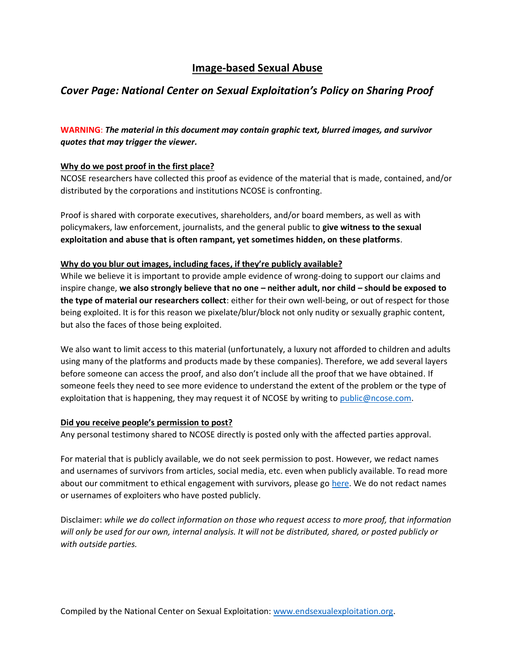# **Image-based Sexual Abuse**

## *Cover Page: National Center on Sexual Exploitation's Policy on Sharing Proof*

**WARNING**: *The material in this document may contain graphic text, blurred images, and survivor quotes that may trigger the viewer.* 

### **Why do we post proof in the first place?**

NCOSE researchers have collected this proof as evidence of the material that is made, contained, and/or distributed by the corporations and institutions NCOSE is confronting.

Proof is shared with corporate executives, shareholders, and/or board members, as well as with policymakers, law enforcement, journalists, and the general public to **give witness to the sexual exploitation and abuse that is often rampant, yet sometimes hidden, on these platforms**.

#### **Why do you blur out images, including faces, if they're publicly available?**

While we believe it is important to provide ample evidence of wrong-doing to support our claims and inspire change, **we also strongly believe that no one – neither adult, nor child – should be exposed to the type of material our researchers collect**: either for their own well-being, or out of respect for those being exploited. It is for this reason we pixelate/blur/block not only nudity or sexually graphic content, but also the faces of those being exploited.

We also want to limit access to this material (unfortunately, a luxury not afforded to children and adults using many of the platforms and products made by these companies). Therefore, we add several layers before someone can access the proof, and also don't include all the proof that we have obtained. If someone feels they need to see more evidence to understand the extent of the problem or the type of exploitation that is happening, they may request it of NCOSE by writing to [public@ncose.com.](mailto:public@ncose.com)

#### **Did you receive people's permission to post?**

Any personal testimony shared to NCOSE directly is posted only with the affected parties approval.

For material that is publicly available, we do not seek permission to post. However, we redact names and usernames of survivors from articles, social media, etc. even when publicly available. To read more about our commitment to ethical engagement with survivors, please go [here.](https://endsexualexploitation.org/walking-alongside-survivors/) We do not redact names or usernames of exploiters who have posted publicly.

Disclaimer: *while we do collect information on those who request access to more proof, that information will only be used for our own, internal analysis. It will not be distributed, shared, or posted publicly or with outside parties.*

Compiled by the National Center on Sexual Exploitation: [www.endsexualexploitation.org.](http://www.endsexualexploitation.org/)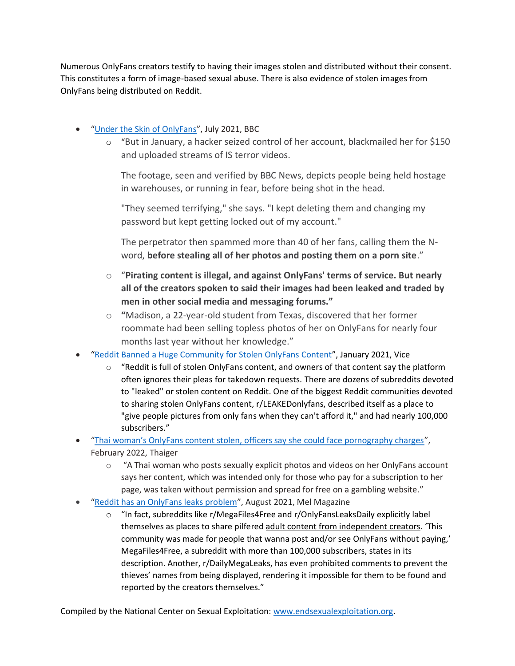Numerous OnlyFans creators testify to having their images stolen and distributed without their consent. This constitutes a form of image-based sexual abuse. There is also evidence of stolen images from OnlyFans being distributed on Reddit.

- "[Under the Skin of OnlyFans](https://www.bbc.com/news/uk-57269939)", July 2021, BBC
	- o "But in January, a hacker seized control of her account, blackmailed her for \$150 and uploaded streams of IS terror videos.

The footage, seen and verified by BBC News, depicts people being held hostage in warehouses, or running in fear, before being shot in the head.

"They seemed terrifying," she says. "I kept deleting them and changing my password but kept getting locked out of my account."

The perpetrator then spammed more than 40 of her fans, calling them the Nword, **before stealing all of her photos and posting them on a porn site**."

- o "**Pirating content is illegal, and against OnlyFans' terms of service. But nearly all of the creators spoken to said their images had been leaked and traded by men in other social media and messaging forums."**
- o **"**Madison, a 22-year-old student from Texas, discovered that her former roommate had been selling topless photos of her on OnlyFans for nearly four months last year without her knowledge."
- "[Reddit Banned a Huge Community for Stolen OnlyFans Content](https://www.vice.com/en/article/m7a5zq/reddit-banned-a-huge-community-for-stolen-onlyfans-content)", January 2021, Vice
	- $\circ$  "Reddit is full of stolen OnlyFans content, and owners of that content say the platform often ignores their pleas for takedown requests. There are dozens of subreddits devoted to "leaked" or stolen content on Reddit. One of the biggest Reddit communities devoted to sharing stolen OnlyFans content, r/LEAKEDonlyfans, described itself as a place to "give people pictures from only fans when they can't afford it," and had nearly 100,000 subscribers."
- ["Thai woman's OnlyFans content stolen, officers say she could face pornography charges"](https://thethaiger.com/news/national/thai-womans-onlyfans-content-stolen-officers-say-she-could-face-pornography-charges), February 2022, Thaiger
	- o "A Thai woman who posts sexually explicit photos and videos on her OnlyFans account says her content, which was intended only for those who pay for a subscription to her page, was taken without permission and spread for free on a gambling website."
- "[Reddit has an OnlyFans leaks problem](https://melmagazine.com/en-us/story/reddit-onlyfans-leak-sites)", August 2021, Mel Magazine
	- "In fact, subreddits like r/MegaFiles4Free and r/OnlyFansLeaksDaily explicitly label themselves as places to share pilfered [adult content from independent creators.](https://melmagazine.com/en-us/story/how-to-make-money-on-onlyfans) 'This community was made for people that wanna post and/or see OnlyFans without paying,' MegaFiles4Free, a subreddit with more than 100,000 subscribers, states in its description. Another, r/DailyMegaLeaks, has even prohibited comments to prevent the thieves' names from being displayed, rendering it impossible for them to be found and reported by the creators themselves."

Compiled by the National Center on Sexual Exploitation: [www.endsexualexploitation.org.](http://www.endsexualexploitation.org/)